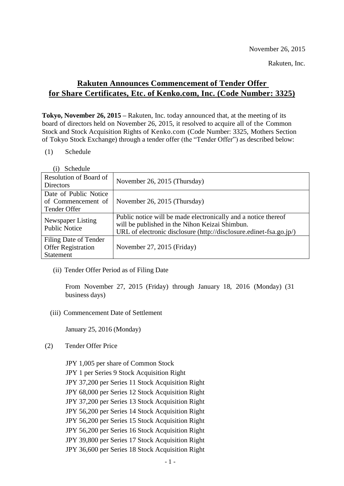November 26, 2015

Rakuten, Inc.

## **Rakuten Announces Commencement of Tender Offer for Share Certificates, Etc. of Kenko.com, Inc. (Code Number: 3325)**

**Tokyo, November 26, 2015** *–* Rakuten, Inc. today announced that, at the meeting of its board of directors held on November 26, 2015, it resolved to acquire all of the Common Stock and Stock Acquisition Rights of Kenko.com (Code Number: 3325, Mothers Section of Tokyo Stock Exchange) through a tender offer (the "Tender Offer") as described below:

(1) Schedule

| Schedule                                                               |                                                                                                                                                                                        |
|------------------------------------------------------------------------|----------------------------------------------------------------------------------------------------------------------------------------------------------------------------------------|
| Resolution of Board of<br><b>Directors</b>                             | November 26, 2015 (Thursday)                                                                                                                                                           |
| Date of Public Notice<br>of Commencement of<br>Tender Offer            | November 26, 2015 (Thursday)                                                                                                                                                           |
| Newspaper Listing<br><b>Public Notice</b>                              | Public notice will be made electronically and a notice thereof<br>will be published in the Nihon Keizai Shimbun.<br>URL of electronic disclosure (http://disclosure.edinet-fsa.go.jp/) |
| Filing Date of Tender<br><b>Offer Registration</b><br><b>Statement</b> | November 27, 2015 (Friday)                                                                                                                                                             |

(ii) Tender Offer Period as of Filing Date

From November 27, 2015 (Friday) through January 18, 2016 (Monday) (31 business days)

(iii) Commencement Date of Settlement

January 25, 2016 (Monday)

(2) Tender Offer Price

JPY 1,005 per share of Common Stock JPY 1 per Series 9 Stock Acquisition Right JPY 37,200 per Series 11 Stock Acquisition Right JPY 68,000 per Series 12 Stock Acquisition Right JPY 37,200 per Series 13 Stock Acquisition Right JPY 56,200 per Series 14 Stock Acquisition Right JPY 56,200 per Series 15 Stock Acquisition Right JPY 56,200 per Series 16 Stock Acquisition Right JPY 39,800 per Series 17 Stock Acquisition Right JPY 36,600 per Series 18 Stock Acquisition Right